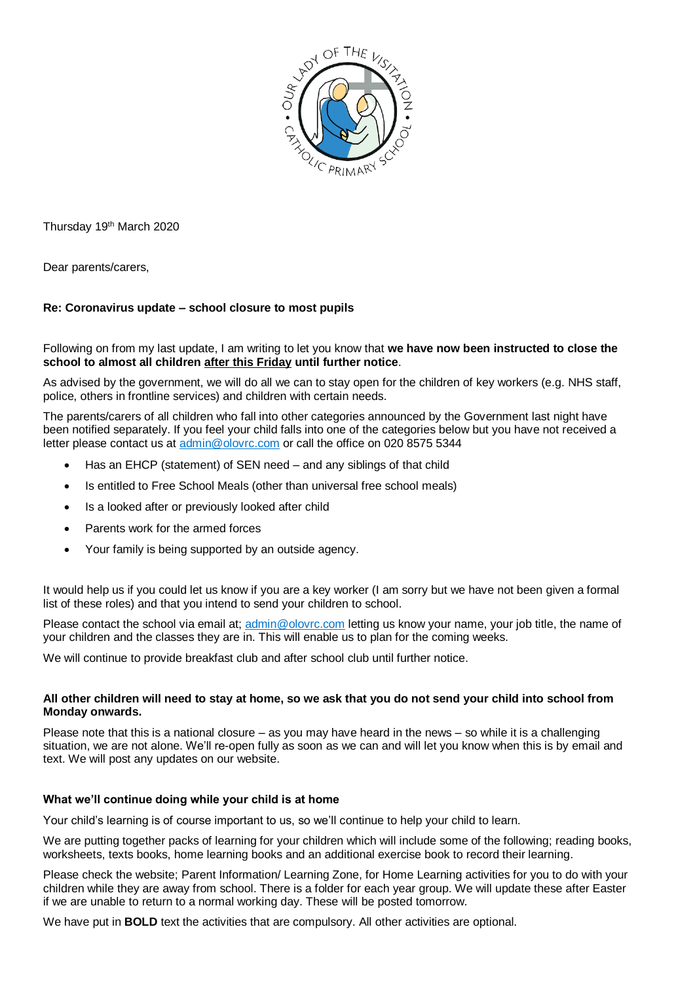

Thursday 19th March 2020

Dear parents/carers,

# **Re: Coronavirus update – school closure to most pupils**

### Following on from my last update, I am writing to let you know that **we have now been instructed to close the school to almost all children after this Friday until further notice**.

As advised by the government, we will do all we can to stay open for the children of key workers (e.g. NHS staff, police, others in frontline services) and children with certain needs.

The parents/carers of all children who fall into other categories announced by the Government last night have been notified separately. If you feel your child falls into one of the categories below but you have not received a letter please contact us at [admin@olovrc.com](mailto:admin@olovrc.com) or call the office on 020 8575 5344

- Has an EHCP (statement) of SEN need and any siblings of that child
- Is entitled to Free School Meals (other than universal free school meals)
- Is a looked after or previously looked after child
- Parents work for the armed forces
- Your family is being supported by an outside agency.

It would help us if you could let us know if you are a key worker (I am sorry but we have not been given a formal list of these roles) and that you intend to send your children to school.

Please contact the school via email at; [admin@olovrc.com](mailto:admin@olovrc.com) letting us know your name, your job title, the name of your children and the classes they are in. This will enable us to plan for the coming weeks.

We will continue to provide breakfast club and after school club until further notice.

# **All other children will need to stay at home, so we ask that you do not send your child into school from Monday onwards.**

Please note that this is a national closure – as you may have heard in the news – so while it is a challenging situation, we are not alone. We'll re-open fully as soon as we can and will let you know when this is by email and text. We will post any updates on our website.

# **What we'll continue doing while your child is at home**

Your child's learning is of course important to us, so we'll continue to help your child to learn.

We are putting together packs of learning for your children which will include some of the following; reading books, worksheets, texts books, home learning books and an additional exercise book to record their learning.

Please check the website; Parent Information/ Learning Zone, for Home Learning activities for you to do with your children while they are away from school. There is a folder for each year group. We will update these after Easter if we are unable to return to a normal working day. These will be posted tomorrow.

We have put in **BOLD** text the activities that are compulsory. All other activities are optional.